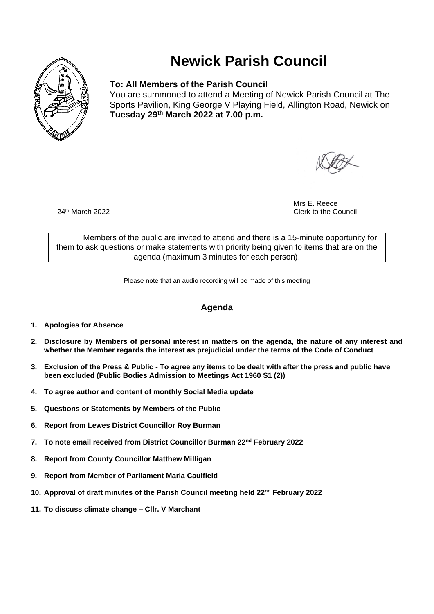

# **Newick Parish Council**

### **To: All Members of the Parish Council**

You are summoned to attend a Meeting of Newick Parish Council at The Sports Pavilion, King George V Playing Field, Allington Road, Newick on **Tuesday 29 th March 2022 at 7.00 p.m.** 

Mrs E. Reece 24<sup>th</sup> March 2022 **Clerk to the Council** 2022

Members of the public are invited to attend and there is a 15-minute opportunity for them to ask questions or make statements with priority being given to items that are on the agenda (maximum 3 minutes for each person).

Please note that an audio recording will be made of this meeting

## **Agenda**

- **1. Apologies for Absence**
- **2. Disclosure by Members of personal interest in matters on the agenda, the nature of any interest and whether the Member regards the interest as prejudicial under the terms of the Code of Conduct**
- **3. Exclusion of the Press & Public - To agree any items to be dealt with after the press and public have been excluded (Public Bodies Admission to Meetings Act 1960 S1 (2))**
- **4. To agree author and content of monthly Social Media update**
- **5. Questions or Statements by Members of the Public**
- **6. Report from Lewes District Councillor Roy Burman**
- **7. To note email received from District Councillor Burman 22nd February 2022**
- **8. Report from County Councillor Matthew Milligan**
- **9. Report from Member of Parliament Maria Caulfield**
- **10. Approval of draft minutes of the Parish Council meeting held 22nd February 2022**
- **11. To discuss climate change – Cllr. V Marchant**